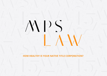**HOW HEALTHY IS YOUR NATIVE TITLE CORPORATION?**

NDS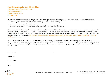## **Material considered within this checklist:**

- 1. Management of the Corporation
- 2. Legal Compliance
- 3. Directors Behaviour
- 4. The Future

Native title corporations hold, manage, and protect recognised native title rights and interests. These corporations should:

- be managed in a way that is transparent and promotes accountability;
- act in accordance with the law; and
- ensure their directors act professionally, responsibly and plan for the future.

MPS Law has worked with native title corporations (RNTBCs) and Aboriginal and Torres Strait Islander corporations across Australia and has developed this checklist to assist you in determining how healthy your corporation is. We encourage you to read this document in conjunction with our heritage survey checklist, native title benefits checklist, RNTBC AGM checklist and template letter agreement for heritage surveys in native title land. These documents are available from the MPS Law website. For a complimentary discussion about this checklist and your responses, please email this completed checklist to **info@mpslaw.com.au.**

*Note: This document is intended as a guide only to assist directors and members in ensuring their corporation is well managed. This does not constitute legal advice. The issues and questions set out are of a general nature and may not reflect your specific circumstances. There may be additional and important issues that should be considered when evaluating the actions of the corporation. If you or your organisation has a legal problem you should obtain professional advice from a legal practitioner.*

| Your name: |  |
|------------|--|
|            |  |

Your role:

Date:

 $\overline{M}$   $\overline{PS}$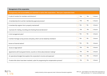| <b>Management of the corporation</b>                                                                    |                      |
|---------------------------------------------------------------------------------------------------------|----------------------|
| Transparency and accountability are essential to native title corporations. Does your corporation have: |                      |
| A code of conduct for members and directors?                                                            | Yes<br>Unsure<br>No  |
| A membership form and fair membership approval process?                                                 | No<br>Yes<br>Unsure  |
| A membership register that is properly maintained?                                                      | No.<br>Yes<br>Unsure |
| A process for making, recording and checking financial decisions?                                       | No<br>Yes<br>Unsure  |
| A risk management plan?                                                                                 | No<br>Yes<br>Unsure  |
| A written heritage survey process and policy, which can be viewed by members?                           | No<br>Yes<br>Unsure  |
| Access to financial advice?                                                                             | No<br>Yes<br>Unsure  |
| Access to legal advice?                                                                                 | Yes<br>No.<br>Unsure |
| Agreements with local governments, councils or shires about decision making?                            | Yes<br>No<br>Unsure  |
| An operational budget that explains the corporation's income and expenses?                              | Yes<br>No<br>Unsure  |
| If native title claims have been resolved, a plan for progressing the compensation process?             | No<br>Yes<br>Unsure  |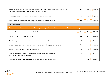| If the corporation has employees, a clear separation between the role of the board and the role of<br>employees (like a General Manager or Chief Executive Officer)? | Yes | No  | Unsure |
|----------------------------------------------------------------------------------------------------------------------------------------------------------------------|-----|-----|--------|
| Mining agreements that reflect the corporation's current circumstances?                                                                                              | Yes | No  | Unsure |
| Policies and procedures for handling complaints and questions from members?                                                                                          | Yes | No  | Unsure |
| <b>Legal Compliance</b>                                                                                                                                              |     |     |        |
| The law can be difficult to understand. Ensuring your corporation is acting in accordance with laws can be complex.                                                  |     |     |        |
| Are all resolutions properly recorded in minutes?                                                                                                                    | Yes | No. | Unsure |
| Are these minutes available for inspection?                                                                                                                          | Yes | No  | Unsure |
| Does the corporation have detailed records of its financial transactions?                                                                                            | Yes | No. | Unsure |
| Does the corporation regularly review is financial processes, including payroll processes?                                                                           | Yes | No. | Unsure |
| Does the corporation regularly review its rule book?                                                                                                                 | Yes | No  | Unsure |
| Does your corporation comply with reporting requirements to the Office of the<br>Registrar of Indigenous Corporations?                                               | Yes | No  | Unsure |
| Does your corporation provide detailed reporting and information to members?                                                                                         | Yes | No  | Unsure |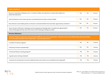| <b>Legal Compliance</b>                                                                                                                                                                               |                     |
|-------------------------------------------------------------------------------------------------------------------------------------------------------------------------------------------------------|---------------------|
| Has your corporation followed, and / or intend to follow, the decisions of native title holders for<br>native title decisions?                                                                        | Unsure<br>Yes<br>No |
| Have all directors and contact persons consented (and are these consents filed)?                                                                                                                      | Yes<br>No<br>Unsure |
| Have directors and related parties to directors received benefits that have been approved by members?                                                                                                 | Yes<br>No<br>Unsure |
| Have minutes of directors meetings and annual general meetings been recorded and signed (which<br>means being approved by those who were at the meeting as being accurate)?                           | Yes<br>No<br>Unsure |
| <b>Directors Behaviour</b>                                                                                                                                                                            |                     |
|                                                                                                                                                                                                       |                     |
| Director's hold an important and sometimes difficult role in the corporation. Directors must act professionally and must always<br>act in the best interests of the corporation. Does the board have? |                     |
| A conflict of interest register?                                                                                                                                                                      | Yes<br>No<br>Unsure |
| A diversity of board membership?                                                                                                                                                                      | Yes<br>Unsure<br>No |
| A financial literacy training program?                                                                                                                                                                | Yes<br>No<br>Unsure |
| A governance training schedule?                                                                                                                                                                       | Yes<br>No<br>Unsure |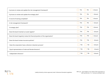| A process to review and update the risk management framework?               | Yes | No. | Unsure |
|-----------------------------------------------------------------------------|-----|-----|--------|
| A process to review and update the strategic plan?                          | Yes | No  | Unsure |
| A record of training completed?                                             | Yes | No  | Unsure |
| A risk management framework?                                                | Yes | No  | Unsure |
| A strategic plan?                                                           | Yes | No  | Unsure |
| Does the board maintain an asset register?                                  | Yes | No  | Unsure |
| Does the board regularly review the financial position of the organisation? | Yes | No  | Unsure |
| Does the board review insurance policies?                                   | Yes | No  | Unsure |
| Does the corporation have a directors induction process?                    | Yes | No  | Unsure |
| Equal representation of male and female directors?                          | Yes | No  | Unsure |
| Independent directors?                                                      | Yes | No. | Unsure |

 $\bigwedge_{L} \bigvee_{N} \bigvee_{L}$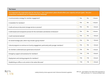| <b>The Future</b>                                                                                                                                                                                |                      |  |
|--------------------------------------------------------------------------------------------------------------------------------------------------------------------------------------------------|----------------------|--|
| It is important the corporation plan for the future. Your corporation's plans should reflect your capacity and your goals. Has your<br>corporation considered and /or implemented the following? |                      |  |
| A communication strategy for member engagement?                                                                                                                                                  | Unsure<br>Yes<br>No. |  |
| A newsletter for members?                                                                                                                                                                        | Yes<br>No.<br>Unsure |  |
| A safe and secure document storage service or process?                                                                                                                                           | Yes<br>No.<br>Unsure |  |
| A skills-based and transparent process for the nomination and election of directors?                                                                                                             | Yes<br>No<br>Unsure  |  |
| A well-maintained website?                                                                                                                                                                       | Yes<br>No.<br>Unsure |  |
| An overall strategic plan, which may include a group charter?                                                                                                                                    | No<br>Unsure<br>Yes  |  |
| Cultural programs to continue on-Country engagement, particularly with younger members?                                                                                                          | Yes<br>No<br>Unsure  |  |
| Do members understand your governance structure?                                                                                                                                                 | Yes<br>No<br>Unsure  |  |
| Emergency support and assistance for members?                                                                                                                                                    | Yes<br>No<br>Unsure  |  |
| Employment and training programs for members?                                                                                                                                                    | Yes<br>No<br>Unsure  |  |
| Establishing an office or arts centre in the native title area?                                                                                                                                  | No<br>Yes<br>Unsure  |  |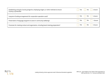| Establishing caring for Country programs, employing rangers, or other methods to ensure<br>Country is protected? | No.<br>Yes<br>Unsure |
|------------------------------------------------------------------------------------------------------------------|----------------------|
| Long-term funding arrangements for corporation operation costs?                                                  | Yes<br>No.<br>Unsure |
| Preservation of language programs to assist in community wellbeing?                                              | Yes<br>No<br>Unsure  |
| Processes for meeting conduct and organisation, including board meeting preparation?                             | Yes<br>No.<br>Unsure |